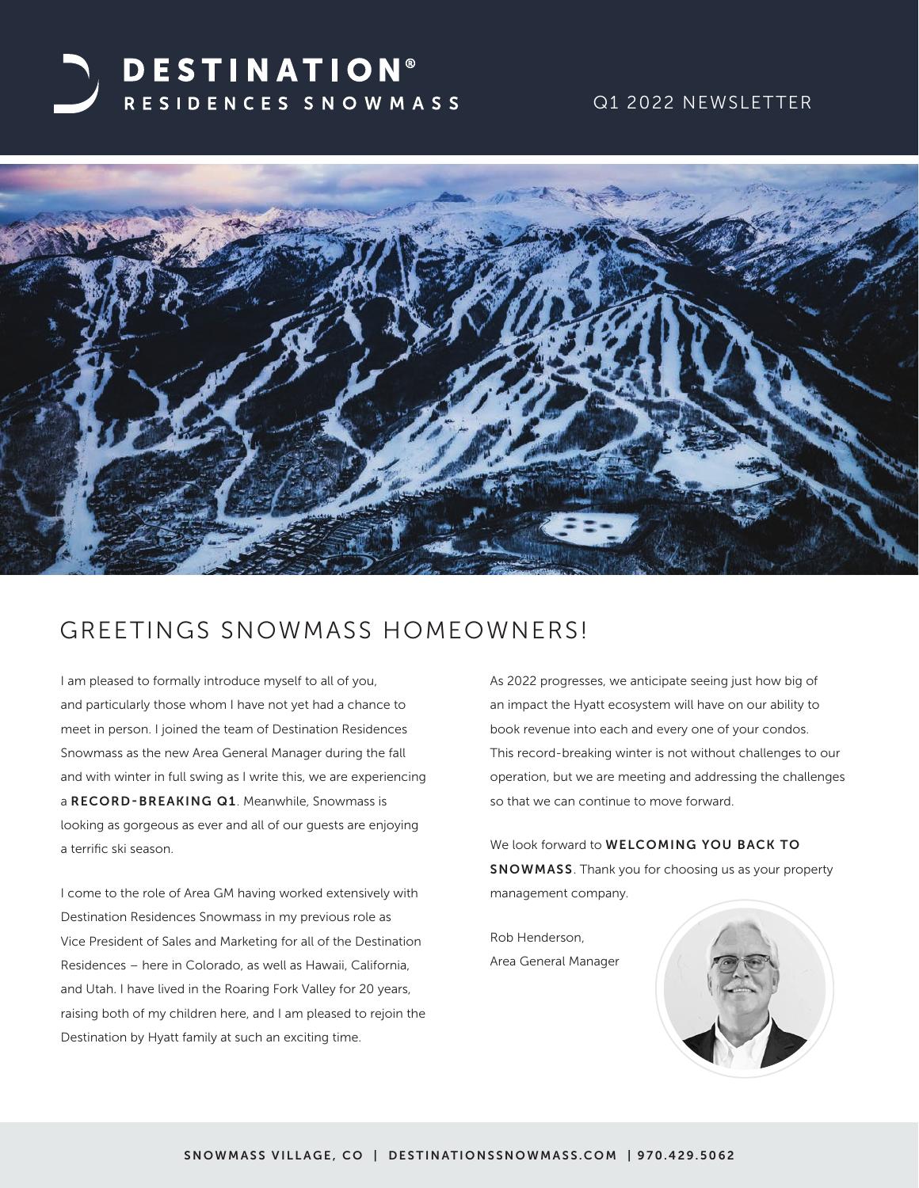# **DESTINATION®** RESIDENCES SNOWMASS

## Q1 2022 NEWSLETTER



## GREETINGS SNOWMASS HOMEOWNERS!

I am pleased to formally introduce myself to all of you, and particularly those whom I have not yet had a chance to meet in person. I joined the team of Destination Residences Snowmass as the new Area General Manager during the fall and with winter in full swing as I write this, we are experiencing a RECORD-BREAKING Q1. Meanwhile, Snowmass is looking as gorgeous as ever and all of our guests are enjoying a terrific ski season.

I come to the role of Area GM having worked extensively with Destination Residences Snowmass in my previous role as Vice President of Sales and Marketing for all of the Destination Residences – here in Colorado, as well as Hawaii, California, and Utah. I have lived in the Roaring Fork Valley for 20 years, raising both of my children here, and I am pleased to rejoin the Destination by Hyatt family at such an exciting time.

As 2022 progresses, we anticipate seeing just how big of an impact the Hyatt ecosystem will have on our ability to book revenue into each and every one of your condos. This record-breaking winter is not without challenges to our operation, but we are meeting and addressing the challenges so that we can continue to move forward.

We look forward to **WELCOMING YOU BACK TO** SNOWMASS. Thank you for choosing us as your property management company.

Rob Henderson, Area General Manager

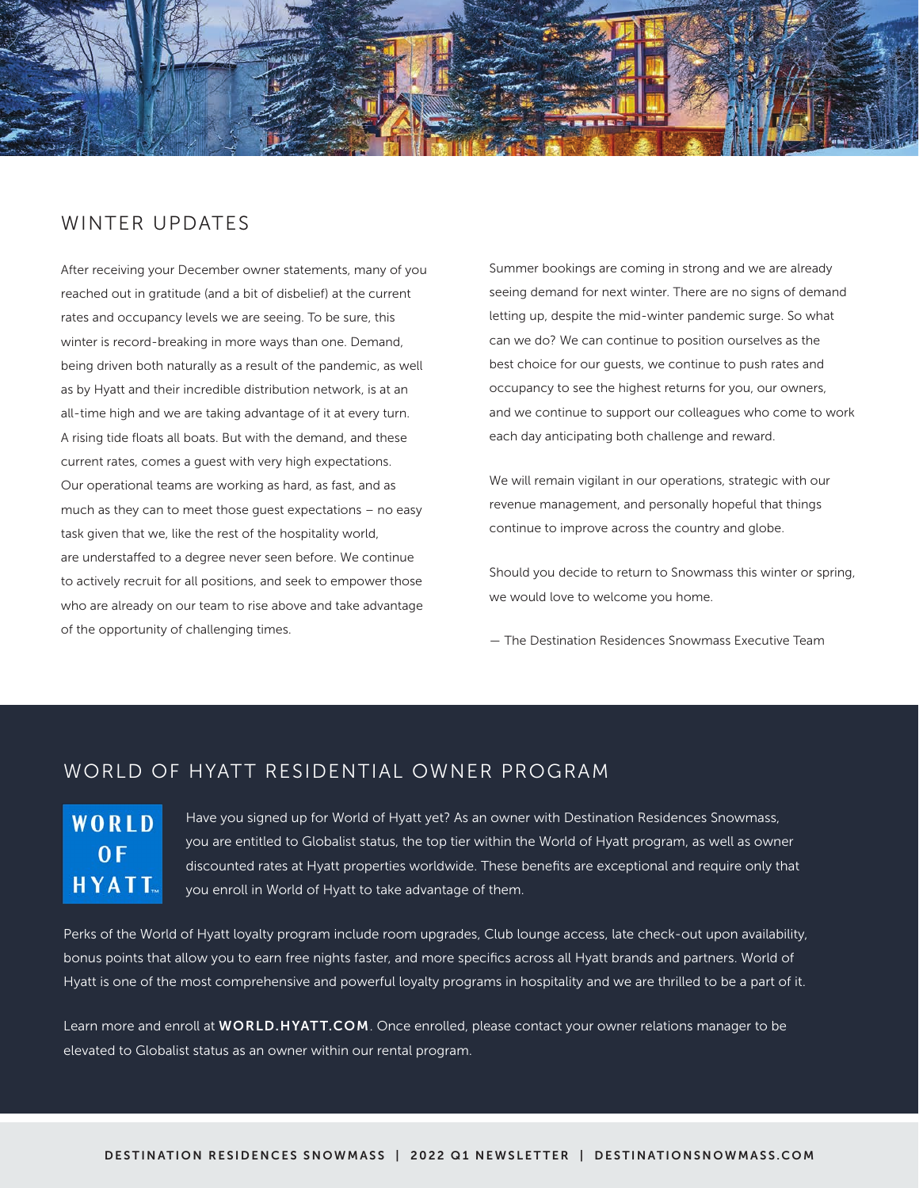

## WINTER UPDATES

After receiving your December owner statements, many of you reached out in gratitude (and a bit of disbelief) at the current rates and occupancy levels we are seeing. To be sure, this winter is record-breaking in more ways than one. Demand, being driven both naturally as a result of the pandemic, as well as by Hyatt and their incredible distribution network, is at an all-time high and we are taking advantage of it at every turn. A rising tide floats all boats. But with the demand, and these current rates, comes a guest with very high expectations. Our operational teams are working as hard, as fast, and as much as they can to meet those guest expectations – no easy task given that we, like the rest of the hospitality world, are understaffed to a degree never seen before. We continue to actively recruit for all positions, and seek to empower those who are already on our team to rise above and take advantage of the opportunity of challenging times.

Summer bookings are coming in strong and we are already seeing demand for next winter. There are no signs of demand letting up, despite the mid-winter pandemic surge. So what can we do? We can continue to position ourselves as the best choice for our guests, we continue to push rates and occupancy to see the highest returns for you, our owners, and we continue to support our colleagues who come to work each day anticipating both challenge and reward.

We will remain vigilant in our operations, strategic with our revenue management, and personally hopeful that things continue to improve across the country and globe.

Should you decide to return to Snowmass this winter or spring, we would love to welcome you home.

— The Destination Residences Snowmass Executive Team

## WORLD OF HYATT RESIDENTIAL OWNER PROGRAM

## WORLD  $0 F$ **HYATT**

Have you signed up for World of Hyatt yet? As an owner with Destination Residences Snowmass, you are entitled to Globalist status, the top tier within the World of Hyatt program, as well as owner discounted rates at Hyatt properties worldwide. These benefits are exceptional and require only that you enroll in World of Hyatt to take advantage of them.

Perks of the World of Hyatt loyalty program include room upgrades, Club lounge access, late check-out upon availability, bonus points that allow you to earn free nights faster, and more specifics across all Hyatt brands and partners. World of Hyatt is one of the most comprehensive and powerful loyalty programs in hospitality and we are thrilled to be a part of it.

Learn more and enroll at WORLD.HYATT.COM. Once enrolled, please contact your owner relations manager to be elevated to Globalist status as an owner within our rental program.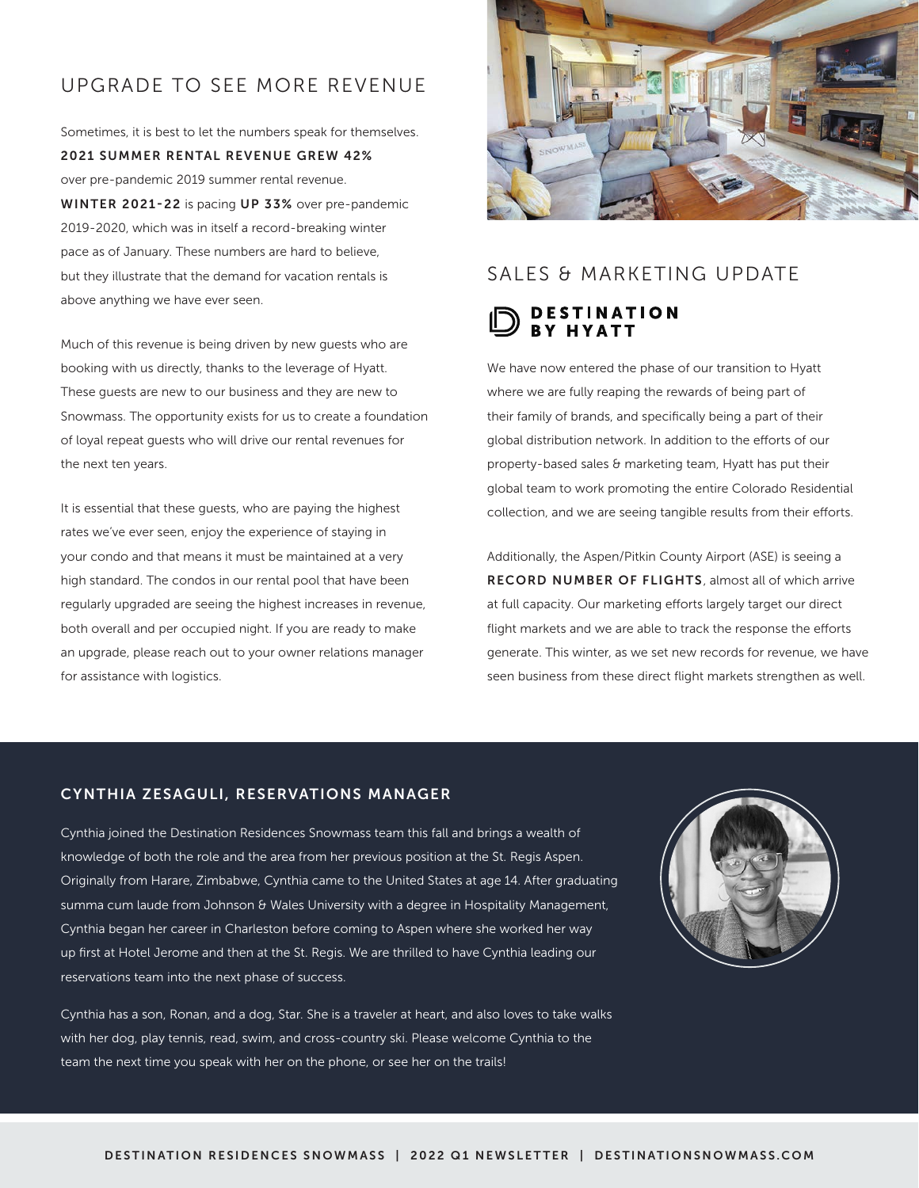## UPGRADE TO SEE MORE REVENUE

Sometimes, it is best to let the numbers speak for themselves. 2021 SUMMER RENTAL REVENUE GREW 42% over pre-pandemic 2019 summer rental revenue. WINTER 2021-22 is pacing UP 33% over pre-pandemic 2019-2020, which was in itself a record-breaking winter pace as of January. These numbers are hard to believe, but they illustrate that the demand for vacation rentals is

above anything we have ever seen.

Much of this revenue is being driven by new guests who are booking with us directly, thanks to the leverage of Hyatt. These guests are new to our business and they are new to Snowmass. The opportunity exists for us to create a foundation of loyal repeat guests who will drive our rental revenues for the next ten years.

It is essential that these guests, who are paying the highest rates we've ever seen, enjoy the experience of staying in your condo and that means it must be maintained at a very high standard. The condos in our rental pool that have been regularly upgraded are seeing the highest increases in revenue, both overall and per occupied night. If you are ready to make an upgrade, please reach out to your owner relations manager for assistance with logistics.



## SALES & MARKETING UPDATE

### **DESTINATION RY HYATT**

We have now entered the phase of our transition to Hyatt where we are fully reaping the rewards of being part of their family of brands, and specifically being a part of their global distribution network. In addition to the efforts of our property-based sales & marketing team, Hyatt has put their global team to work promoting the entire Colorado Residential collection, and we are seeing tangible results from their efforts.

Additionally, the Aspen/Pitkin County Airport (ASE) is seeing a RECORD NUMBER OF FLIGHTS, almost all of which arrive at full capacity. Our marketing efforts largely target our direct flight markets and we are able to track the response the efforts generate. This winter, as we set new records for revenue, we have seen business from these direct flight markets strengthen as well.

#### CYNTHIA ZESAGULI, RESERVATIONS MANAGER

Cynthia joined the Destination Residences Snowmass team this fall and brings a wealth of knowledge of both the role and the area from her previous position at the St. Regis Aspen. Originally from Harare, Zimbabwe, Cynthia came to the United States at age 14. After graduating summa cum laude from Johnson & Wales University with a degree in Hospitality Management, Cynthia began her career in Charleston before coming to Aspen where she worked her way up first at Hotel Jerome and then at the St. Regis. We are thrilled to have Cynthia leading our reservations team into the next phase of success.

Cynthia has a son, Ronan, and a dog, Star. She is a traveler at heart, and also loves to take walks with her dog, play tennis, read, swim, and cross-country ski. Please welcome Cynthia to the team the next time you speak with her on the phone, or see her on the trails!